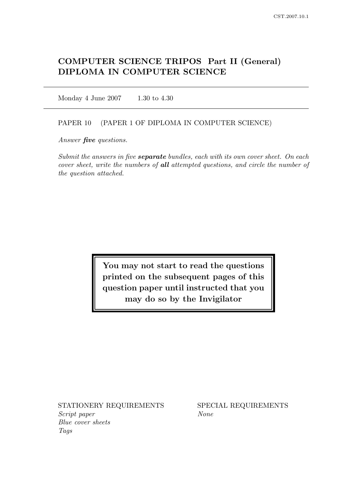# COMPUTER SCIENCE TRIPOS Part II (General) DIPLOMA IN COMPUTER SCIENCE

Monday 4 June 2007 1.30 to 4.30

### PAPER 10 (PAPER 1 OF DIPLOMA IN COMPUTER SCIENCE)

Answer *five* questions.

Submit the answers in five **separate** bundles, each with its own cover sheet. On each cover sheet, write the numbers of all attempted questions, and circle the number of the question attached.

> You may not start to read the questions printed on the subsequent pages of this question paper until instructed that you may do so by the Invigilator

STATIONERY REQUIREMENTS SPECIAL REQUIREMENTS Script paper None Blue cover sheets Tags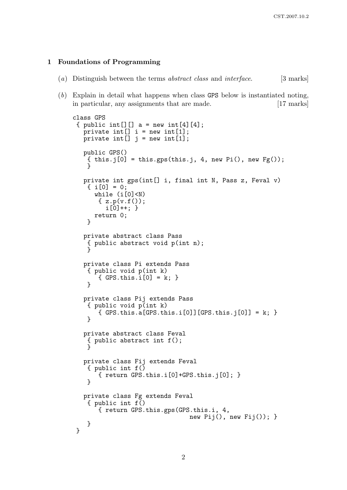#### 1 Foundations of Programming

- (a) Distinguish between the terms *abstract class* and *interface*. [3 marks]
- (b) Explain in detail what happens when class GPS below is instantiated noting, in particular, any assignments that are made. [17 marks]

```
class GPS
{ public int[][] a = new int[4][4];
  private int[] i = new int[1];
  private int[] j = new int[1];
  public GPS()
    { this.j[0] = this.gps(this.j, 4, new Pi(), new Fg();
    }
  private int gps(int[] i, final int N, Pass z, Feval v)
    \{ i[0] = 0;while (i[0]<N)
       { z.p(v.f()) };i[0]+; }
      return 0;
   }
  private abstract class Pass
    { public abstract void p(int n);
    }
  private class Pi extends Pass
    { public void p(int k)
       {GPS.this.i[0] = k; }}
  private class Pij extends Pass
    { public void p(int k)
       {GPS.this.a[GPS.this.i[0]][GPS.this.j[0]] = k; }}
  private abstract class Feval
    { public abstract int f();
   }
  private class Fij extends Feval
    { public int f()
       { return GPS.this.i[0]+GPS.this.j[0]; }
    }
  private class Fg extends Feval
    { public int f()
       { return GPS.this.gps(GPS.this.i, 4,
                                new Pij(), new Fij(); }
   }
}
```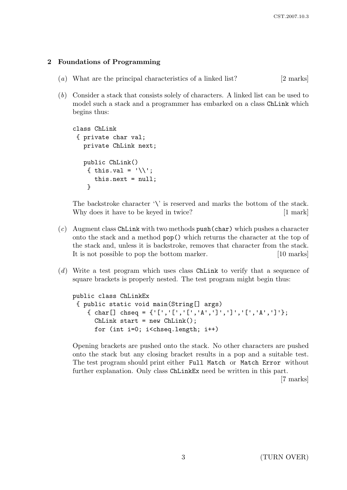## 2 Foundations of Programming

- (a) What are the principal characteristics of a linked list? [2 marks]
- (b) Consider a stack that consists solely of characters. A linked list can be used to model such a stack and a programmer has embarked on a class ChLink which begins thus:

```
class ChLink
 { private char val;
   private ChLink next;
   public ChLink()
    { this.val = \sqrt{this.next = null;
    }
```
The backstroke character  $\forall$  is reserved and marks the bottom of the stack. Why does it have to be keyed in twice? [1 mark]

- $(c)$  Augment class ChLink with two methods push(char) which pushes a character onto the stack and a method pop() which returns the character at the top of the stack and, unless it is backstroke, removes that character from the stack. It is not possible to pop the bottom marker. [10 marks]
- (d) Write a test program which uses class ChLink to verify that a sequence of square brackets is properly nested. The test program might begin thus:

```
public class ChLinkEx
 { public static void main(String[] args)
    { char[] chseq = {'[','[','[','A',']',']','[','A',']'};
      ChLink start = new ChLink();
      for (int i=0; i<chseq.length; i++)
```
Opening brackets are pushed onto the stack. No other characters are pushed onto the stack but any closing bracket results in a pop and a suitable test. The test program should print either Full Match or Match Error without further explanation. Only class ChLinkEx need be written in this part.

[7 marks]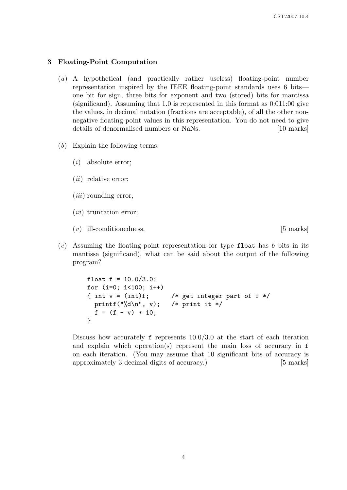#### 3 Floating-Point Computation

- (a) A hypothetical (and practically rather useless) floating-point number representation inspired by the IEEE floating-point standards uses 6 bits one bit for sign, three bits for exponent and two (stored) bits for mantissa (significand). Assuming that 1.0 is represented in this format as 0:011:00 give the values, in decimal notation (fractions are acceptable), of all the other nonnegative floating-point values in this representation. You do not need to give details of denormalised numbers or NaNs. [10 marks]
- $(b)$  Explain the following terms:
	- (i) absolute error;
	- $(ii)$  relative error;
	- $(iii)$  rounding error:
	- $(iv)$  truncation error;
	- (v) ill-conditionedness. [5 marks]
- $(c)$  Assuming the floating-point representation for type float has b bits in its mantissa (significand), what can be said about the output of the following program?

```
float f = 10.0/3.0;
for (i=0; i<100; i++)
{ int v = (int)f; /* get integer part of f */printf("%d\n", v); /* print it */
  f = (f - v) * 10;}
```
Discuss how accurately  $f$  represents  $10.0/3.0$  at the start of each iteration and explain which operation(s) represent the main loss of accuracy in f on each iteration. (You may assume that 10 significant bits of accuracy is approximately 3 decimal digits of accuracy.) [5 marks]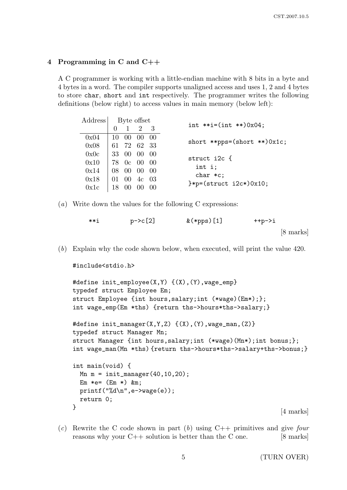## 4 Programming in C and C++

A C programmer is working with a little-endian machine with 8 bits in a byte and 4 bytes in a word. The compiler supports unaligned access and uses 1, 2 and 4 bytes to store char, short and int respectively. The programmer writes the following definitions (below right) to access values in main memory (below left):

| Address | Byte offset                                                                       |                 |                     |     |                                     |  |  |
|---------|-----------------------------------------------------------------------------------|-----------------|---------------------|-----|-------------------------------------|--|--|
|         |                                                                                   |                 | $1 \quad 2 \quad 3$ |     | int **i= $(int$ ** $)0x04;$         |  |  |
| 0x04    |                                                                                   |                 | 10 00 00 00         |     | short **pps= $(short **)0x1c;$      |  |  |
| 0x08    | 61 72 62 33                                                                       |                 |                     |     |                                     |  |  |
| 0x0c    | 33 00 00 00                                                                       |                 |                     |     | struct i2c {                        |  |  |
| 0x10    | $\frac{178}{0}$ 0c 00 00                                                          |                 |                     |     | int i;                              |  |  |
| 0x14    |                                                                                   |                 | 08 00 00 00         |     | $char *c;$                          |  |  |
| 0x18    | $\begin{array}{ccc} \begin{array}{ccc} 01 & 00 & 4c & 03 \end{array} \end{array}$ |                 |                     |     | $\frac{1}{2}$ = (struct i2c*) 0x10; |  |  |
| 0x1c    | 18                                                                                | 00 <sup>°</sup> |                     | -00 |                                     |  |  |

(a) Write down the values for the following C expressions:

| **i | $p - > c$ [2] | $&$ (*pps) [1] | ++p->i              |  |
|-----|---------------|----------------|---------------------|--|
|     |               |                | $[8 \text{ marks}]$ |  |

(b) Explain why the code shown below, when executed, will print the value 420.

```
#include<stdio.h>
```

```
#define init_employee(X,Y) {(X),(Y),wage_emp}
typedef struct Employee Em;
struct Employee {int hours,salary;int (*wage)(Em*);};
int wage_emp(Em *ths) {return ths->hours*ths->salary;}
#define init_manager(X,Y,Z) {(X),(Y),wage_man,(Z)}
typedef struct Manager Mn;
struct Manager {int hours,salary;int (*wage)(Mn*);int bonus;};
int wage_man(Mn *ths) {return ths->hours*ths->salary+ths->bonus;}
int main(void) {
 Mn m = init_name(40, 10, 20);
  Em *e= (Em *) &m;
 printf("%d\n",e->wage(e));
  return 0;
}
                                                          [4 marks]
```
(c) Rewrite the C code shown in part (b) using  $C++$  primitives and give four reasons why your  $C++$  solution is better than the C one. [8 marks]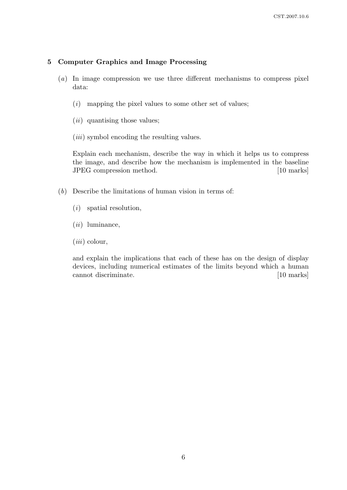## 5 Computer Graphics and Image Processing

- (a) In image compression we use three different mechanisms to compress pixel data:
	- $(i)$  mapping the pixel values to some other set of values;
	- $(ii)$  quantising those values;
	- (*iii*) symbol encoding the resulting values.

Explain each mechanism, describe the way in which it helps us to compress the image, and describe how the mechanism is implemented in the baseline JPEG compression method. [10 marks]

- (b) Describe the limitations of human vision in terms of:
	- (i) spatial resolution,
	- $(ii)$  luminance,
	- $(iii)$  colour,

and explain the implications that each of these has on the design of display devices, including numerical estimates of the limits beyond which a human cannot discriminate. [10 marks]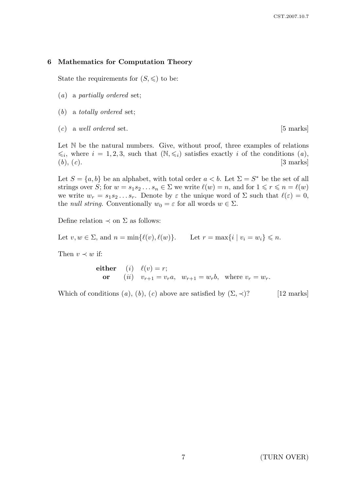#### 6 Mathematics for Computation Theory

State the requirements for  $(S, \leqslant)$  to be:

- (a) a partially ordered set;
- (b) a totally ordered set;
- $(c)$  a well ordered set. [5 marks]

Let N be the natural numbers. Give, without proof, three examples of relations  $\leq i$ , where  $i = 1, 2, 3$ , such that  $(N, \leq i)$  satisfies exactly i of the conditions  $(a)$ ,  $(b), (c).$  [3 marks]

Let  $S = \{a, b\}$  be an alphabet, with total order  $a < b$ . Let  $\Sigma = S^*$  be the set of all strings over S; for  $w = s_1 s_2 ... s_n \in \Sigma$  we write  $\ell(w) = n$ , and for  $1 \leq r \leq n = \ell(w)$ we write  $w_r = s_1 s_2 \dots s_r$ . Denote by  $\varepsilon$  the unique word of  $\Sigma$  such that  $\ell(\varepsilon) = 0$ , the *null string*. Conventionally  $w_0 = \varepsilon$  for all words  $w \in \Sigma$ .

Define relation  $\prec$  on  $\Sigma$  as follows:

Let  $v, w \in \Sigma$ , and  $n = \min{\{\ell(v), \ell(w)\}}$ . Let  $r = \max{\{i \mid v_i = w_i\}} \leq n$ .

Then  $v \prec w$  if:

 $\textbf{either} \quad (i) \quad \ell(v) = r;$ or  $(ii)$   $v_{r+1} = v_r a$ ,  $w_{r+1} = w_r b$ , where  $v_r = w_r$ .

Which of conditions  $(a)$ ,  $(b)$ ,  $(c)$  above are satisfied by  $(\Sigma, \prec)$ ? [12 marks]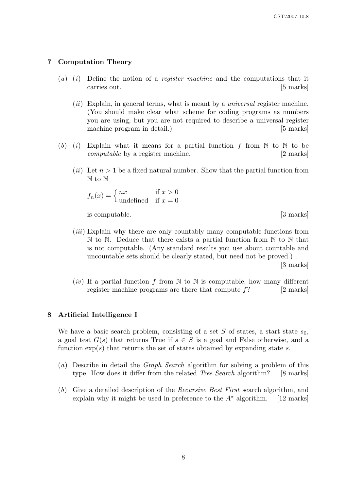## 7 Computation Theory

- (a) (i) Define the notion of a *register machine* and the computations that it carries out. [5 marks]
	- $(ii)$  Explain, in general terms, what is meant by a *universal* register machine. (You should make clear what scheme for coding programs as numbers you are using, but you are not required to describe a universal register machine program in detail.) [5 marks]
- (b) (i) Explain what it means for a partial function f from  $\mathbb N$  to  $\mathbb N$  to be computable by a register machine. [2 marks]
	- (*ii*) Let  $n > 1$  be a fixed natural number. Show that the partial function from N to N

$$
f_n(x) = \begin{cases} nx & \text{if } x > 0\\ \text{undefined} & \text{if } x = 0 \end{cases}
$$

is computable. [3 marks]

- (iii) Explain why there are only countably many computable functions from  $\mathbb N$  to  $\mathbb N$ . Deduce that there exists a partial function from  $\mathbb N$  to  $\mathbb N$  that is not computable. (Any standard results you use about countable and uncountable sets should be clearly stated, but need not be proved.) [3 marks]
- (*iv*) If a partial function f from  $\mathbb N$  to  $\mathbb N$  is computable, how many different register machine programs are there that compute  $f$ ? [2 marks]

## 8 Artificial Intelligence I

We have a basic search problem, consisting of a set S of states, a start state  $s_0$ , a goal test  $G(s)$  that returns True if  $s \in S$  is a goal and False otherwise, and a function  $\exp(s)$  that returns the set of states obtained by expanding state s.

- (a) Describe in detail the Graph Search algorithm for solving a problem of this type. How does it differ from the related *Tree Search* algorithm? [8 marks]
- (b) Give a detailed description of the Recursive Best First search algorithm, and explain why it might be used in preference to the  $A^*$  algorithm. [12 marks]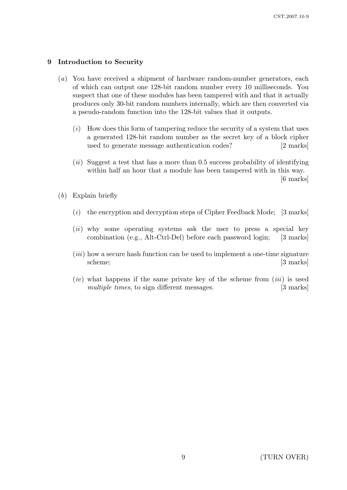## 9 Introduction to Security

- (a) You have received a shipment of hardware random-number generators, each of which can output one 128-bit random number every 10 milliseconds. You suspect that one of these modules has been tampered with and that it actually produces only 30-bit random numbers internally, which are then converted via a pseudo-random function into the 128-bit values that it outputs.
	- $(i)$  How does this form of tampering reduce the security of a system that uses a generated 128-bit random number as the secret key of a block cipher used to generate message authentication codes? [2 marks]
	- $(ii)$  Suggest a test that has a more than 0.5 success probability of identifying within half an hour that a module has been tampered with in this way. [6 marks]
- (b) Explain briefly
	- (i) the encryption and decryption steps of Cipher Feedback Mode; [3 marks]
	- (ii) why some operating systems ask the user to press a special key combination (e.g., Alt-Ctrl-Del) before each password login; [3 marks]
	- $(iii)$  how a secure hash function can be used to implement a one-time signature scheme; [3 marks]
	- $(iv)$  what happens if the same private key of the scheme from  $(iii)$  is used multiple times, to sign different messages. [3 marks]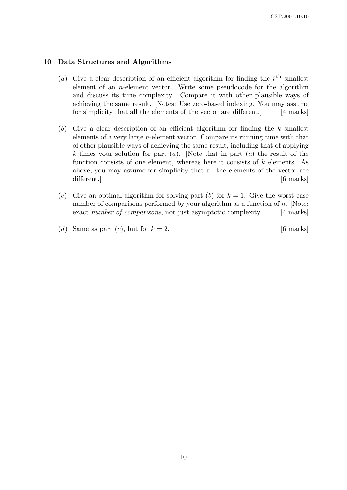#### 10 Data Structures and Algorithms

- (a) Give a clear description of an efficient algorithm for finding the  $i<sup>th</sup>$  smallest element of an n-element vector. Write some pseudocode for the algorithm and discuss its time complexity. Compare it with other plausible ways of achieving the same result. [Notes: Use zero-based indexing. You may assume for simplicity that all the elements of the vector are different. [4 marks]
- (b) Give a clear description of an efficient algorithm for finding the  $k$  smallest elements of a very large n-element vector. Compare its running time with that of other plausible ways of achieving the same result, including that of applying k times your solution for part  $(a)$ . Note that in part  $(a)$  the result of the function consists of one element, whereas here it consists of  $k$  elements. As above, you may assume for simplicity that all the elements of the vector are different.  $\begin{bmatrix} 6 \text{ marks} \end{bmatrix}$
- (c) Give an optimal algorithm for solving part (b) for  $k = 1$ . Give the worst-case number of comparisons performed by your algorithm as a function of  $n$ . [Note: exact number of comparisons, not just asymptotic complexity. [4 marks]
- (d) Same as part (c), but for  $k = 2$ . [6 marks]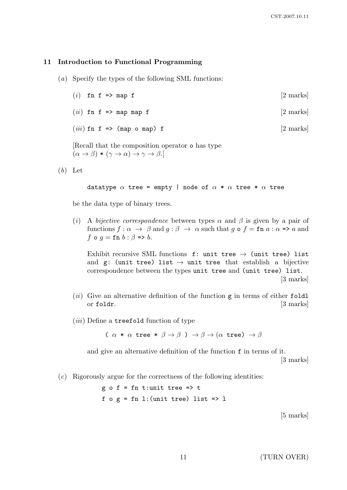#### 11 Introduction to Functional Programming

- (a) Specify the types of the following SML functions:
	- (i) fn f  $\Rightarrow$  map f [2 marks]
	- (*ii*) fn f => map map f  $[2 \text{ marks}]$
	- $(iii)$  fn f => (map o map) f [2 marks]

[Recall that the composition operator o has type  $(\alpha \to \beta) * (\gamma \to \alpha) \to \gamma \to \beta$ .

 $(b)$  Let

#### datatype  $\alpha$  tree = empty | node of  $\alpha * \alpha$  tree \*  $\alpha$  tree

be the data type of binary trees.

(i) A bijective correspondence between types  $\alpha$  and  $\beta$  is given by a pair of functions  $f : \alpha \to \beta$  and  $g : \beta \to \alpha$  such that g  $\circ f = \text{fn } a : \alpha \Rightarrow a$  and f o  $g = \text{fn } b : \beta \Rightarrow b$ .

Exhibit recursive SML functions f: unit tree  $\rightarrow$  (unit tree) list and g: (unit tree) list  $\rightarrow$  unit tree that establish a bijective correspondence between the types unit tree and (unit tree) list. [3 marks]

- (ii) Give an alternative definition of the function  $g$  in terms of either foldl or foldr. [3 marks]
- $(iii)$  Define a treefold function of type

(  $\alpha * \alpha$  tree  $* \beta \rightarrow \beta$  )  $\rightarrow \beta \rightarrow (\alpha$  tree)  $\rightarrow \beta$ 

and give an alternative definition of the function f in terms of it.

[3 marks]

 $(c)$  Rigorously argue for the correctness of the following identities:

 $g \circ f = fn$  t: unit tree => t f  $o g = fn 1$ : (unit tree) list => 1

[5 marks]